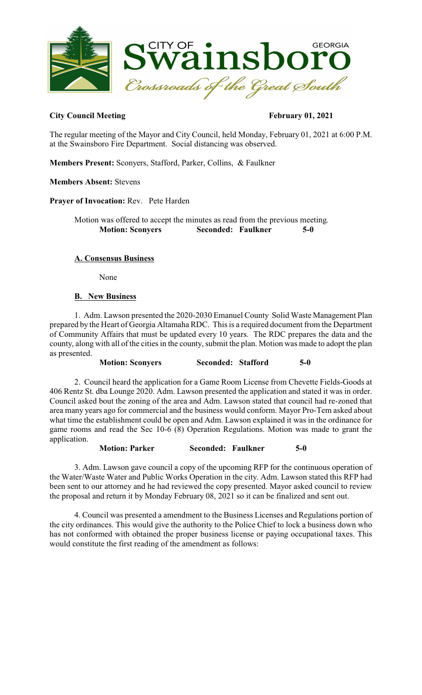

### City Council Meeting February 01, 2021

The regular meeting of the Mayor and City Council, held Monday, February 01, 2021 at 6:00 P.M. at the Swainsboro Fire Department. Social distancing was observed.

**Members Present:** Sconyers, Stafford, Parker, Collins, & Faulkner

#### **Members Absent:** Stevens

**Prayer of Invocation:** Rev. Pete Harden

Motion was offered to accept the minutes as read from the previous meeting. **Motion: Sconyers Seconded: Faulkner** 

### **A. Consensus Business**

None

### **B. New Business**

1. Adm. Lawson presented the 2020-2030 Emanuel County Solid Waste Management Plan prepared by the Heart of Georgia Altamaha RDC. This is a required document from the Department of Community Affairs that must be updated every 10 years. The RDC prepares the data and the county, along with all of the cities in the county, submit the plan. Motion was made to adopt the plan as presented.

**Motion: Sconyers Seconded: Stafford 5-0** 

2. Council heard the application for a Game Room License from Chevette Fields-Goods at 406 Rentz St. dba Lounge 2020. Adm. Lawson presented the application and stated it was in order. Council asked bout the zoning of the area and Adm. Lawson stated that council had re-zoned that area many years ago for commercial and the business would conform. Mayor Pro-Tem asked about what time the establishment could be open and Adm. Lawson explained it was in the ordinance for game rooms and read the Sec 10-6 (8) Operation Regulations. Motion was made to grant the application.

**Motion: Parker Seconded: Faulkner 5-0** 

3. Adm. Lawson gave council a copy of the upcoming RFP for the continuous operation of the Water/Waste Water and Public Works Operation in the city. Adm. Lawson stated this RFP had been sent to our attorney and he had reviewed the copy presented. Mayor asked council to review the proposal and return it by Monday February 08, 2021 so it can be finalized and sent out.

4. Council was presented a amendment to the Business Licenses and Regulations portion of the city ordinances. This would give the authority to the Police Chief to lock a business down who has not conformed with obtained the proper business license or paying occupational taxes. This would constitute the first reading of the amendment as follows: